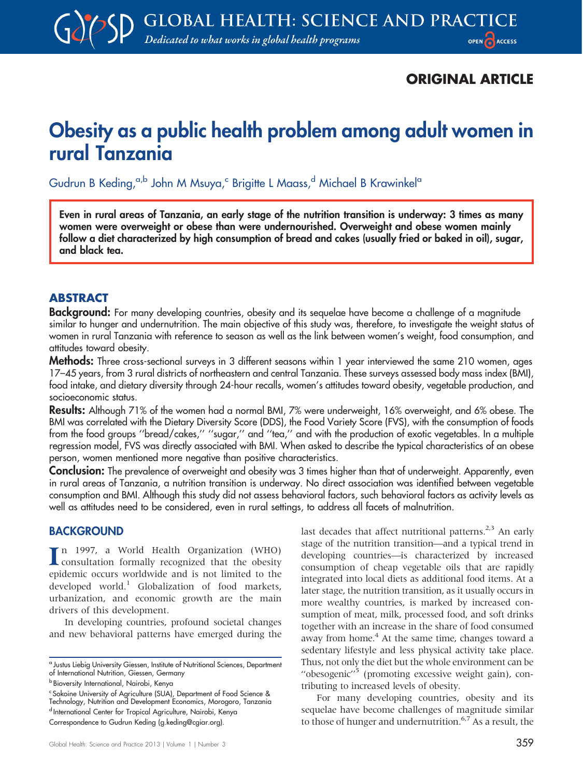## ORIGINAL ARTICLE

# Obesity as a public health problem among adult women in rural Tanzania

Gudrun B Keding,<sup>a,b</sup> John M Msuya,<sup>c</sup> Brigitte L Maass,<sup>d</sup> Michael B Krawinkel<sup>a</sup>

Even in rural areas of Tanzania, an early stage of the nutrition transition is underway: 3 times as many women were overweight or obese than were undernourished. Overweight and obese women mainly follow a diet characterized by high consumption of bread and cakes (usually fried or baked in oil), sugar, and black tea.

## **ABSTRACT**

Background: For many developing countries, obesity and its sequelae have become a challenge of a magnitude similar to hunger and undernutrition. The main objective of this study was, therefore, to investigate the weight status of women in rural Tanzania with reference to season as well as the link between women's weight, food consumption, and attitudes toward obesity.

Methods: Three cross-sectional surveys in 3 different seasons within 1 year interviewed the same 210 women, ages 17–45 years, from 3 rural districts of northeastern and central Tanzania. These surveys assessed body mass index (BMI), food intake, and dietary diversity through 24-hour recalls, women's attitudes toward obesity, vegetable production, and socioeconomic status.

Results: Although 71% of the women had a normal BMI, 7% were underweight, 16% overweight, and 6% obese. The BMI was correlated with the Dietary Diversity Score (DDS), the Food Variety Score (FVS), with the consumption of foods from the food groups ''bread/cakes,'' ''sugar,'' and ''tea,'' and with the production of exotic vegetables. In a multiple regression model, FVS was directly associated with BMI. When asked to describe the typical characteristics of an obese person, women mentioned more negative than positive characteristics.

Conclusion: The prevalence of overweight and obesity was 3 times higher than that of underweight. Apparently, even in rural areas of Tanzania, a nutrition transition is underway. No direct association was identified between vegetable consumption and BMI. Although this study did not assess behavioral factors, such behavioral factors as activity levels as well as attitudes need to be considered, even in rural settings, to address all facets of malnutrition.

## **BACKGROUND**

In 1997, a World Health Organization (WHO)<br>consultation formally recognized that the obesity epidemic occurs worldwide and is not limited to the developed world.<sup>1</sup> Globalization of food markets, urbanization, and economic growth are the main drivers of this development.

In developing countries, profound societal changes and new behavioral patterns have emerged during the

<sup>c</sup> Sokoine University of Agriculture (SUA), Department of Food Science & Technology, Nutrition and Development Economics, Morogoro, Tanzania d International Center for Tropical Agriculture, Nairobi, Kenya

Correspondence to Gudrun Keding (g.keding@cgiar.org).

last decades that affect nutritional patterns. $2,3$  An early stage of the nutrition transition—and a typical trend in developing countries—is characterized by increased consumption of cheap vegetable oils that are rapidly integrated into local diets as additional food items. At a later stage, the nutrition transition, as it usually occurs in more wealthy countries, is marked by increased consumption of meat, milk, processed food, and soft drinks together with an increase in the share of food consumed away from home.<sup>4</sup> At the same time, changes toward a sedentary lifestyle and less physical activity take place. Thus, not only the diet but the whole environment can be "obesogenic"<sup>5</sup> (promoting excessive weight gain), contributing to increased levels of obesity.

For many developing countries, obesity and its sequelae have become challenges of magnitude similar to those of hunger and undernutrition.<sup>6,7</sup> As a result, the

<sup>a</sup> Justus Liebig University Giessen, Institute of Nutritional Sciences, Department of International Nutrition, Giessen, Germany

**b Bioversity International, Nairobi, Kenya**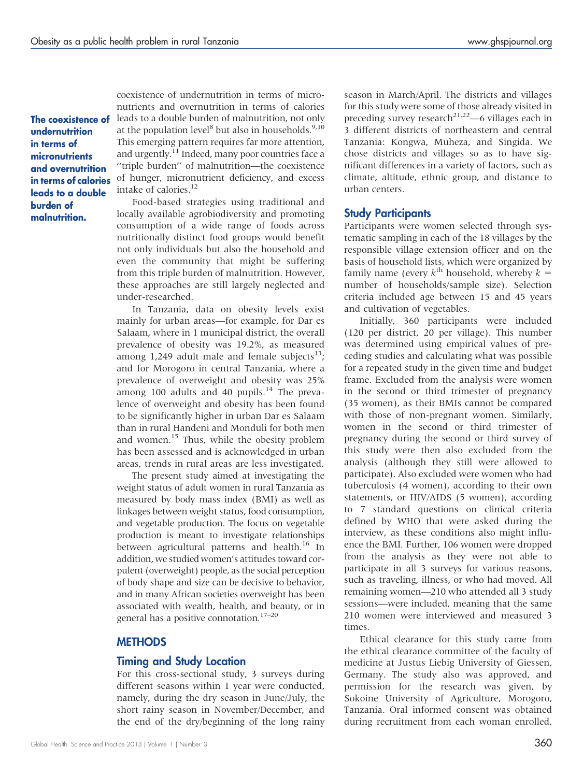The coexistence of undernutrition in terms of micronutrients and overnutrition in terms of calories leads to a double burden of malnutrition.

coexistence of undernutrition in terms of micronutrients and overnutrition in terms of calories leads to a double burden of malnutrition, not only at the population level<sup>8</sup> but also in households.<sup>9,10</sup> This emerging pattern requires far more attention, and urgently.<sup>11</sup> Indeed, many poor countries face a ''triple burden'' of malnutrition—the coexistence of hunger, micronutrient deficiency, and excess intake of calories.12

Food-based strategies using traditional and locally available agrobiodiversity and promoting consumption of a wide range of foods across nutritionally distinct food groups would benefit not only individuals but also the household and even the community that might be suffering from this triple burden of malnutrition. However, these approaches are still largely neglected and under-researched.

In Tanzania, data on obesity levels exist mainly for urban areas—for example, for Dar es Salaam, where in 1 municipal district, the overall prevalence of obesity was 19.2%, as measured among 1,249 adult male and female subjects $^{13}$ ; and for Morogoro in central Tanzania, where a prevalence of overweight and obesity was 25% among 100 adults and 40 pupils. $14$  The prevalence of overweight and obesity has been found to be significantly higher in urban Dar es Salaam than in rural Handeni and Monduli for both men and women.<sup>15</sup> Thus, while the obesity problem has been assessed and is acknowledged in urban areas, trends in rural areas are less investigated.

The present study aimed at investigating the weight status of adult women in rural Tanzania as measured by body mass index (BMI) as well as linkages between weight status, food consumption, and vegetable production. The focus on vegetable production is meant to investigate relationships between agricultural patterns and health.<sup>16</sup> In addition, we studied women's attitudes toward corpulent (overweight) people, as the social perception of body shape and size can be decisive to behavior, and in many African societies overweight has been associated with wealth, health, and beauty, or in general has a positive connotation. $17-20$ 

#### **METHODS**

#### Timing and Study Location

For this cross-sectional study, 3 surveys during different seasons within 1 year were conducted, namely, during the dry season in June/July, the short rainy season in November/December, and the end of the dry/beginning of the long rainy season in March/April. The districts and villages for this study were some of those already visited in preceding survey research<sup>21,22</sup>—6 villages each in 3 different districts of northeastern and central Tanzania: Kongwa, Muheza, and Singida. We chose districts and villages so as to have significant differences in a variety of factors, such as climate, altitude, ethnic group, and distance to urban centers.

#### Study Participants

Participants were women selected through systematic sampling in each of the 18 villages by the responsible village extension officer and on the basis of household lists, which were organized by family name (every  $k^{\text{th}}$  household, whereby  $k =$ number of households/sample size). Selection criteria included age between 15 and 45 years and cultivation of vegetables.

Initially, 360 participants were included (120 per district, 20 per village). This number was determined using empirical values of preceding studies and calculating what was possible for a repeated study in the given time and budget frame. Excluded from the analysis were women in the second or third trimester of pregnancy (35 women), as their BMIs cannot be compared with those of non-pregnant women. Similarly, women in the second or third trimester of pregnancy during the second or third survey of this study were then also excluded from the analysis (although they still were allowed to participate). Also excluded were women who had tuberculosis (4 women), according to their own statements, or HIV/AIDS (5 women), according to 7 standard questions on clinical criteria defined by WHO that were asked during the interview, as these conditions also might influence the BMI. Further, 106 women were dropped from the analysis as they were not able to participate in all 3 surveys for various reasons, such as traveling, illness, or who had moved. All remaining women—210 who attended all 3 study sessions—were included, meaning that the same 210 women were interviewed and measured 3 times.

Ethical clearance for this study came from the ethical clearance committee of the faculty of medicine at Justus Liebig University of Giessen, Germany. The study also was approved, and permission for the research was given, by Sokoine University of Agriculture, Morogoro, Tanzania. Oral informed consent was obtained during recruitment from each woman enrolled,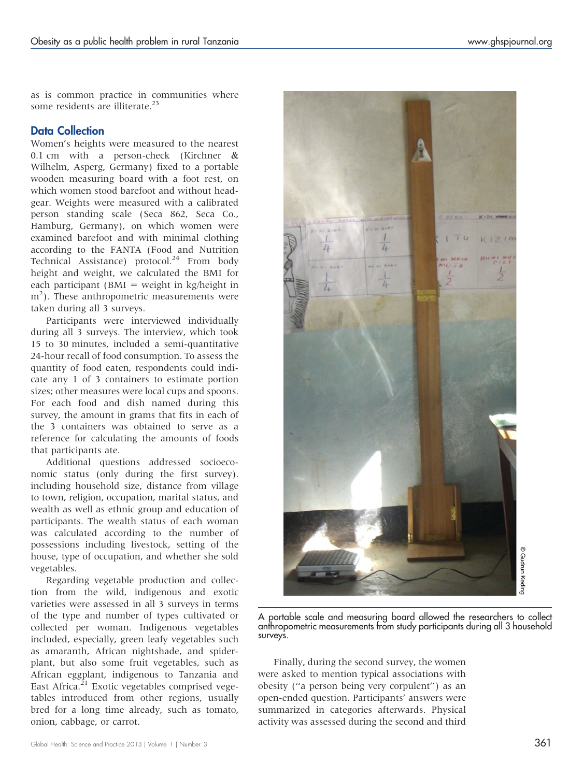as is common practice in communities where some residents are illiterate.<sup>23</sup>

## Data Collection

Women's heights were measured to the nearest 0.1 cm with a person-check (Kirchner & Wilhelm, Asperg, Germany) fixed to a portable wooden measuring board with a foot rest, on which women stood barefoot and without headgear. Weights were measured with a calibrated person standing scale (Seca 862, Seca Co., Hamburg, Germany), on which women were examined barefoot and with minimal clothing according to the FANTA (Food and Nutrition Technical Assistance) protocol.<sup>24</sup> From body height and weight, we calculated the BMI for each participant (BMI  $=$  weight in kg/height in m<sup>2</sup>). These anthropometric measurements were taken during all 3 surveys.

Participants were interviewed individually during all 3 surveys. The interview, which took 15 to 30 minutes, included a semi-quantitative 24-hour recall of food consumption. To assess the quantity of food eaten, respondents could indicate any 1 of 3 containers to estimate portion sizes; other measures were local cups and spoons. For each food and dish named during this survey, the amount in grams that fits in each of the 3 containers was obtained to serve as a reference for calculating the amounts of foods that participants ate.

Additional questions addressed socioeconomic status (only during the first survey). including household size, distance from village to town, religion, occupation, marital status, and wealth as well as ethnic group and education of participants. The wealth status of each woman was calculated according to the number of possessions including livestock, setting of the house, type of occupation, and whether she sold vegetables.

Regarding vegetable production and collection from the wild, indigenous and exotic varieties were assessed in all 3 surveys in terms of the type and number of types cultivated or collected per woman. Indigenous vegetables included, especially, green leafy vegetables such as amaranth, African nightshade, and spiderplant, but also some fruit vegetables, such as African eggplant, indigenous to Tanzania and East Africa. $^{21}$  Exotic vegetables comprised vegetables introduced from other regions, usually bred for a long time already, such as tomato, onion, cabbage, or carrot.



A portable scale and measuring board allowed the researchers to collect anthropometric measurements from study participants during all 3 household surveys.

Finally, during the second survey, the women were asked to mention typical associations with obesity (''a person being very corpulent'') as an open-ended question. Participants' answers were summarized in categories afterwards. Physical activity was assessed during the second and third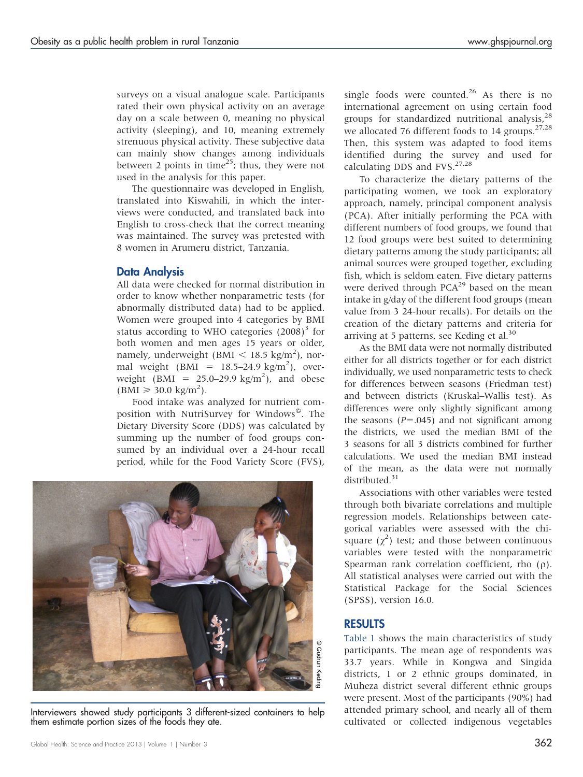surveys on a visual analogue scale. Participants rated their own physical activity on an average day on a scale between 0, meaning no physical activity (sleeping), and 10, meaning extremely strenuous physical activity. These subjective data can mainly show changes among individuals between 2 points in time $2<sup>5</sup>$ ; thus, they were not used in the analysis for this paper.

The questionnaire was developed in English, translated into Kiswahili, in which the interviews were conducted, and translated back into English to cross-check that the correct meaning was maintained. The survey was pretested with 8 women in Arumeru district, Tanzania.

#### Data Analysis

All data were checked for normal distribution in order to know whether nonparametric tests (for abnormally distributed data) had to be applied. Women were grouped into 4 categories by BMI status according to WHO categories  $(2008)^3$  for both women and men ages 15 years or older, namely, underweight (BMI  $<$  18.5 kg/m<sup>2</sup>), normal weight  $(BMI = 18.5-24.9 \text{ kg/m}^2)$ , overweight  $(BMI = 25.0-29.9 \text{ kg/m}^2)$ , and obese  $(BMI \ge 30.0 \text{ kg/m}^2).$ 

Food intake was analyzed for nutrient composition with NutriSurvey for Windows<sup>®</sup>. The Dietary Diversity Score (DDS) was calculated by summing up the number of food groups consumed by an individual over a 24-hour recall period, while for the Food Variety Score (FVS),



Interviewers showed study participants 3 different-sized containers to help them estimate portion sizes of the foods they ate.

single foods were counted. $26$  As there is no international agreement on using certain food groups for standardized nutritional analysis, $^{28}$ we allocated 76 different foods to 14 groups.<sup>27,28</sup> Then, this system was adapted to food items identified during the survey and used for calculating DDS and FVS.<sup>27,28</sup>

To characterize the dietary patterns of the participating women, we took an exploratory approach, namely, principal component analysis (PCA). After initially performing the PCA with different numbers of food groups, we found that 12 food groups were best suited to determining dietary patterns among the study participants; all animal sources were grouped together, excluding fish, which is seldom eaten. Five dietary patterns were derived through  $PCA<sup>29</sup>$  based on the mean intake in g/day of the different food groups (mean value from 3 24-hour recalls). For details on the creation of the dietary patterns and criteria for arriving at 5 patterns, see Keding et al. $30$ 

As the BMI data were not normally distributed either for all districts together or for each district individually, we used nonparametric tests to check for differences between seasons (Friedman test) and between districts (Kruskal–Wallis test). As differences were only slightly significant among the seasons  $(P=.045)$  and not significant among the districts, we used the median BMI of the 3 seasons for all 3 districts combined for further calculations. We used the median BMI instead of the mean, as the data were not normally distributed<sup>31</sup>

Associations with other variables were tested through both bivariate correlations and multiple regression models. Relationships between categorical variables were assessed with the chisquare  $(\chi^2)$  test; and those between continuous variables were tested with the nonparametric Spearman rank correlation coefficient, rho  $(\rho)$ . All statistical analyses were carried out with the Statistical Package for the Social Sciences (SPSS), version 16.0.

#### RESULTS

[Table 1](#page-4-0) shows the main characteristics of study participants. The mean age of respondents was 33.7 years. While in Kongwa and Singida districts, 1 or 2 ethnic groups dominated, in Muheza district several different ethnic groups were present. Most of the participants (90%) had attended primary school, and nearly all of them cultivated or collected indigenous vegetables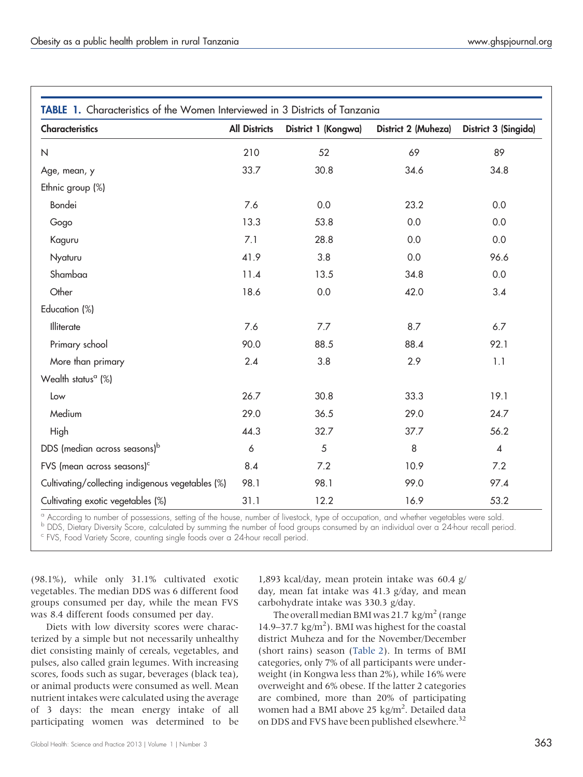<span id="page-4-0"></span>

| <b>Characteristics</b>                           | <b>All Districts</b> | District 1 (Kongwa) | District 2 (Muheza) | District 3 (Singida) |
|--------------------------------------------------|----------------------|---------------------|---------------------|----------------------|
|                                                  |                      |                     |                     |                      |
| $\mathsf{N}$                                     | 210                  | 52                  | 69                  | 89                   |
| Age, mean, y                                     | 33.7                 | 30.8                | 34.6                | 34.8                 |
| Ethnic group (%)                                 |                      |                     |                     |                      |
| Bondei                                           | 7.6                  | 0.0                 | 23.2                | 0.0                  |
| Gogo                                             | 13.3                 | 53.8                | 0.0                 | 0.0                  |
| Kaguru                                           | 7.1                  | 28.8                | 0.0                 | 0.0                  |
| Nyaturu                                          | 41.9                 | 3.8                 | 0.0                 | 96.6                 |
| Shambaa                                          | 11.4                 | 13.5                | 34.8                | 0.0                  |
| Other                                            | 18.6                 | 0.0                 | 42.0                | 3.4                  |
| Education (%)                                    |                      |                     |                     |                      |
| Illiterate                                       | 7.6                  | 7.7                 | 8.7                 | 6.7                  |
| Primary school                                   | 90.0                 | 88.5                | 88.4                | 92.1                 |
| More than primary                                | 2.4                  | 3.8                 | 2.9                 | 1.1                  |
| Wealth status <sup>a</sup> (%)                   |                      |                     |                     |                      |
| Low                                              | 26.7                 | 30.8                | 33.3                | 19.1                 |
| Medium                                           | 29.0                 | 36.5                | 29.0                | 24.7                 |
| High                                             | 44.3                 | 32.7                | 37.7                | 56.2                 |
| DDS (median across seasons) <sup>b</sup>         | 6                    | 5                   | 8                   | $\overline{4}$       |
| FVS (mean across seasons) <sup>c</sup>           | 8.4                  | 7.2                 | 10.9                | 7.2                  |
| Cultivating/collecting indigenous vegetables (%) | 98.1                 | 98.1                | 99.0                | 97.4                 |
| Cultivating exotic vegetables (%)                | 31.1                 | 12.2                | 16.9                | 53.2                 |

<sup>a</sup> According to number of possessions, setting of the house, number of livestock, type of occupation, and whether vegetables were sold.

<sup>b</sup> DDS, Dietary Diversity Score, calculated by summing the number of food groups consumed by an individual over a 24-hour recall period. <sup>c</sup> FVS, Food Variety Score, counting single foods over a 24-hour recall period.

(98.1%), while only 31.1% cultivated exotic vegetables. The median DDS was 6 different food groups consumed per day, while the mean FVS was 8.4 different foods consumed per day.

Diets with low diversity scores were characterized by a simple but not necessarily unhealthy diet consisting mainly of cereals, vegetables, and pulses, also called grain legumes. With increasing scores, foods such as sugar, beverages (black tea), or animal products were consumed as well. Mean nutrient intakes were calculated using the average of 3 days: the mean energy intake of all participating women was determined to be

1,893 kcal/day, mean protein intake was 60.4 g/ day, mean fat intake was 41.3 g/day, and mean carbohydrate intake was 330.3 g/day.

The overall median BMI was 21.7 kg/m<sup>2</sup> (range 14.9-37.7  $\text{kg/m}^2$ ). BMI was highest for the coastal district Muheza and for the November/December (short rains) season [\(Table 2\)](#page-5-0). In terms of BMI categories, only 7% of all participants were underweight (in Kongwa less than 2%), while 16% were overweight and 6% obese. If the latter 2 categories are combined, more than 20% of participating women had a BMI above 25 kg/m<sup>2</sup>. Detailed data on DDS and FVS have been published elsewhere.<sup>32</sup>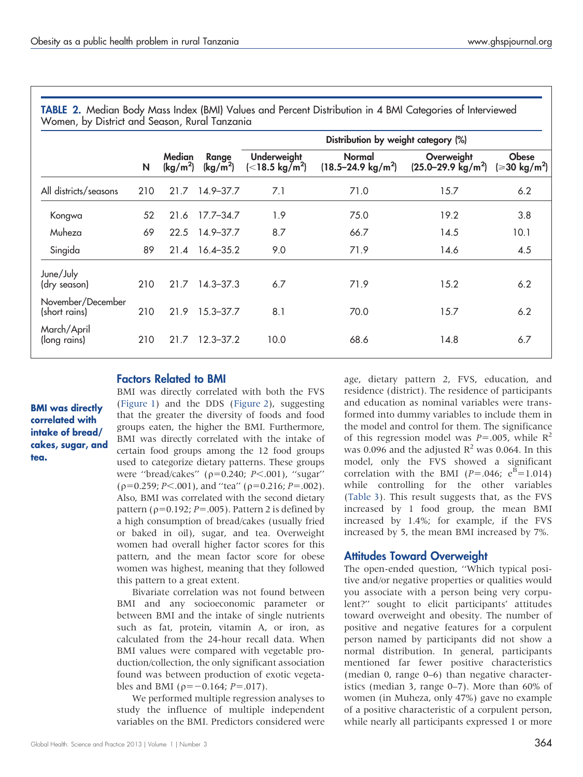|                                    | Women, by District and Season, Rural Tanzania |                                |                               |                                                |                                          |                                              |                                           |  |  |
|------------------------------------|-----------------------------------------------|--------------------------------|-------------------------------|------------------------------------------------|------------------------------------------|----------------------------------------------|-------------------------------------------|--|--|
|                                    |                                               |                                |                               | Distribution by weight category (%)            |                                          |                                              |                                           |  |  |
|                                    | N                                             | Median<br>(kg/m <sup>2</sup> ) | Range<br>(kg/m <sup>2</sup> ) | Underweight<br>$\frac{1}{18.5 \text{ kg/m}^2}$ | Normal<br>$(18.5 - 24.9 \text{ kg/m}^2)$ | Overweight<br>$(25.0 - 29.9 \text{ kg/m}^2)$ | Obese<br>$\approx$ 30 kg/m <sup>2</sup> ) |  |  |
| All districts/seasons              | 210                                           | 21.7                           | $14.9 - 37.7$                 | 7.1                                            | 71.0                                     | 15.7                                         | 6.2                                       |  |  |
| Kongwa                             | 52                                            | 21.6                           | $17.7 - 34.7$                 | 1.9                                            | 75.0                                     | 19.2                                         | 3.8                                       |  |  |
| Muheza                             | 69                                            | 22.5                           | $14.9 - 37.7$                 | 8.7                                            | 66.7                                     | 14.5                                         | 10.1                                      |  |  |
| Singida                            | 89                                            | 21.4                           | $16.4 - 35.2$                 | 9.0                                            | 71.9                                     | 14.6                                         | 4.5                                       |  |  |
| June/July<br>(dry season)          | 210                                           | 21.7                           | $14.3 - 37.3$                 | 6.7                                            | 71.9                                     | 15.2                                         | 6.2                                       |  |  |
| November/December<br>(short rains) | 210                                           | 21.9                           | $15.3 - 37.7$                 | 8.1                                            | 70.0                                     | 15.7                                         | 6.2                                       |  |  |
| March/April<br>(long rains)        | 210                                           | 21.7                           | $12.3 - 37.2$                 | 10.0                                           | 68.6                                     | 14.8                                         | 6.7                                       |  |  |

<span id="page-5-0"></span>TABLE 2. Median Body Mass Index (BMI) Values and Percent Distribution in 4 BMI Categories of Interviewed

### Factors Related to BMI

BMI was directly correlated with intake of bread/ cakes, sugar, and tea.

BMI was directly correlated with both the FVS [\(Figure 1](#page-6-0)) and the DDS [\(Figure 2](#page-6-0)), suggesting that the greater the diversity of foods and food groups eaten, the higher the BMI. Furthermore, BMI was directly correlated with the intake of certain food groups among the 12 food groups used to categorize dietary patterns. These groups were "bread/cakes" ( $p=0.240$ ;  $P<.001$ ), "sugar"  $(p=0.259; P<.001)$ , and "tea" ( $p=0.216; P=.002$ ). Also, BMI was correlated with the second dietary pattern ( $\rho$ =0.192; P=.005). Pattern 2 is defined by a high consumption of bread/cakes (usually fried or baked in oil), sugar, and tea. Overweight women had overall higher factor scores for this pattern, and the mean factor score for obese women was highest, meaning that they followed this pattern to a great extent.

Bivariate correlation was not found between BMI and any socioeconomic parameter or between BMI and the intake of single nutrients such as fat, protein, vitamin A, or iron, as calculated from the 24-hour recall data. When BMI values were compared with vegetable production/collection, the only significant association found was between production of exotic vegetables and BMI ( $p=-0.164; P=.017$ ).

We performed multiple regression analyses to study the influence of multiple independent variables on the BMI. Predictors considered were

Global Health: Science and Practice 2013 | Volume 1 | Number 3 **364** 364 and the United Science and Practice 2013 | Volume 1 | Number 3

age, dietary pattern 2, FVS, education, and residence (district). The residence of participants and education as nominal variables were transformed into dummy variables to include them in the model and control for them. The significance of this regression model was  $P=.005$ , while  $\mathbb{R}^2$ was 0.096 and the adjusted  $R^2$  was 0.064. In this model, only the FVS showed a significant correlation with the BMI ( $P = .046$ ;  $e^{B} = 1.014$ ) while controlling for the other variables ([Table 3\)](#page-7-0). This result suggests that, as the FVS increased by 1 food group, the mean BMI increased by 1.4%; for example, if the FVS increased by 5, the mean BMI increased by 7%.

#### Attitudes Toward Overweight

The open-ended question, ''Which typical positive and/or negative properties or qualities would you associate with a person being very corpulent?'' sought to elicit participants' attitudes toward overweight and obesity. The number of positive and negative features for a corpulent person named by participants did not show a normal distribution. In general, participants mentioned far fewer positive characteristics (median 0, range 0–6) than negative characteristics (median 3, range 0–7). More than 60% of women (in Muheza, only 47%) gave no example of a positive characteristic of a corpulent person, while nearly all participants expressed 1 or more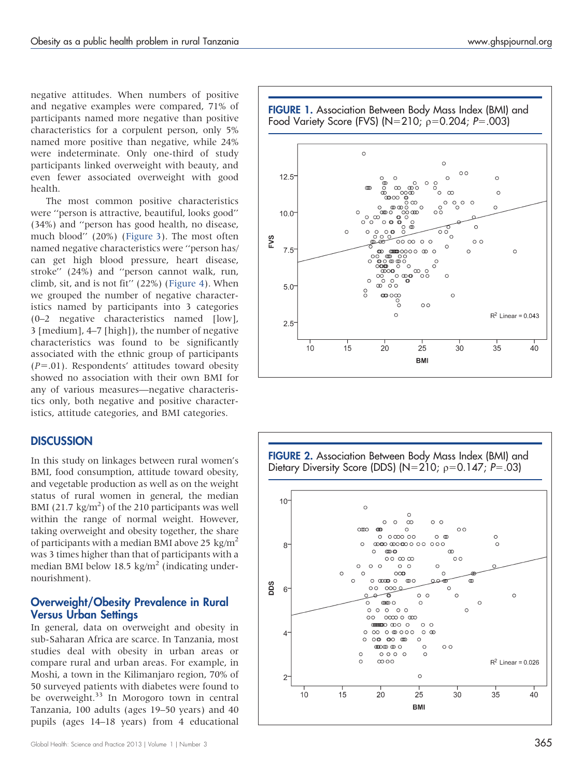<span id="page-6-0"></span>negative attitudes. When numbers of positive and negative examples were compared, 71% of participants named more negative than positive characteristics for a corpulent person, only 5% named more positive than negative, while 24% were indeterminate. Only one-third of study participants linked overweight with beauty, and even fewer associated overweight with good health.

The most common positive characteristics were ''person is attractive, beautiful, looks good'' (34%) and ''person has good health, no disease, much blood'' (20%) [\(Figure 3\)](#page-8-0). The most often named negative characteristics were ''person has/ can get high blood pressure, heart disease, stroke'' (24%) and ''person cannot walk, run, climb, sit, and is not fit'' (22%) [\(Figure 4\)](#page-8-0). When we grouped the number of negative characteristics named by participants into 3 categories (0–2 negative characteristics named [low], 3 [medium], 4–7 [high]), the number of negative characteristics was found to be significantly associated with the ethnic group of participants  $(P=.01)$ . Respondents' attitudes toward obesity showed no association with their own BMI for any of various measures—negative characteristics only, both negative and positive characteristics, attitude categories, and BMI categories.

## **DISCUSSION**

In this study on linkages between rural women's BMI, food consumption, attitude toward obesity, and vegetable production as well as on the weight status of rural women in general, the median BMI (21.7 kg/ $m<sup>2</sup>$ ) of the 210 participants was well within the range of normal weight. However, taking overweight and obesity together, the share of participants with a median BMI above 25  $\text{kg/m}^2$ was 3 times higher than that of participants with a median BMI below 18.5 kg/m<sup>2</sup> (indicating undernourishment).

### Overweight/Obesity Prevalence in Rural Versus Urban Settings

In general, data on overweight and obesity in sub-Saharan Africa are scarce. In Tanzania, most studies deal with obesity in urban areas or compare rural and urban areas. For example, in Moshi, a town in the Kilimanjaro region, 70% of 50 surveyed patients with diabetes were found to be overweight. $33$  In Morogoro town in central Tanzania, 100 adults (ages 19–50 years) and 40 pupils (ages 14–18 years) from 4 educational



FIGURE 2. Association Between Body Mass Index (BMI) and Dietary Diversity Score (DDS) (N=210;  $p=0.147$ ; P=.03)

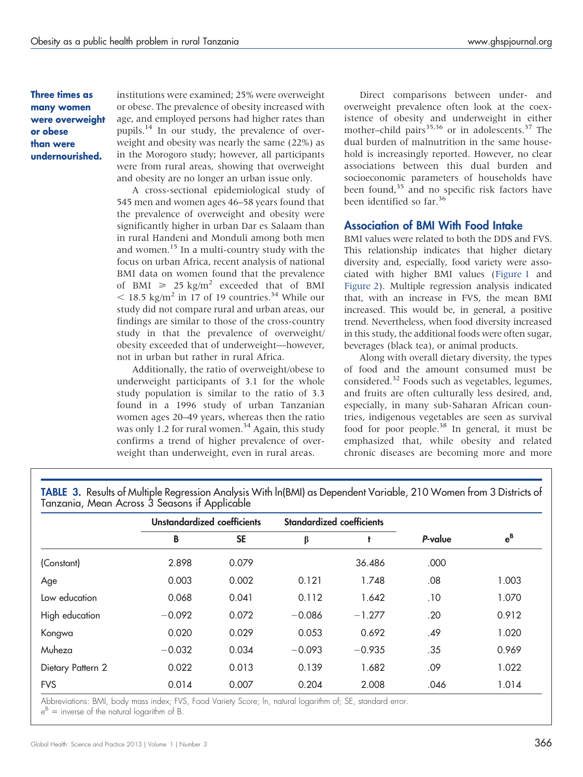<span id="page-7-0"></span>Three times as many women were overweight or obese than were undernourished.

institutions were examined; 25% were overweight or obese. The prevalence of obesity increased with age, and employed persons had higher rates than pupils.14 In our study, the prevalence of overweight and obesity was nearly the same (22%) as in the Morogoro study; however, all participants were from rural areas, showing that overweight and obesity are no longer an urban issue only.

A cross-sectional epidemiological study of 545 men and women ages 46–58 years found that the prevalence of overweight and obesity were significantly higher in urban Dar es Salaam than in rural Handeni and Monduli among both men and women.<sup>15</sup> In a multi-country study with the focus on urban Africa, recent analysis of national BMI data on women found that the prevalence of BMI  $\geq 25$  kg/m<sup>2</sup> exceeded that of BMI  $<$  18.5 kg/m<sup>2</sup> in 17 of 19 countries.<sup>34</sup> While our study did not compare rural and urban areas, our findings are similar to those of the cross-country study in that the prevalence of overweight/ obesity exceeded that of underweight—however, not in urban but rather in rural Africa.

Additionally, the ratio of overweight/obese to underweight participants of 3.1 for the whole study population is similar to the ratio of 3.3 found in a 1996 study of urban Tanzanian women ages 20–49 years, whereas then the ratio was only 1.2 for rural women.<sup>34</sup> Again, this study confirms a trend of higher prevalence of overweight than underweight, even in rural areas.

Direct comparisons between under- and overweight prevalence often look at the coexistence of obesity and underweight in either mother–child pairs<sup>35,36</sup> or in adolescents.<sup>37</sup> The dual burden of malnutrition in the same household is increasingly reported. However, no clear associations between this dual burden and socioeconomic parameters of households have been found, $35$  and no specific risk factors have been identified so far.<sup>36</sup>

#### Association of BMI With Food Intake

BMI values were related to both the DDS and FVS. This relationship indicates that higher dietary diversity and, especially, food variety were associated with higher BMI values ([Figure 1](#page-6-0) and [Figure 2](#page-6-0)). Multiple regression analysis indicated that, with an increase in FVS, the mean BMI increased. This would be, in general, a positive trend. Nevertheless, when food diversity increased in this study, the additional foods were often sugar, beverages (black tea), or animal products.

Along with overall dietary diversity, the types of food and the amount consumed must be considered.32 Foods such as vegetables, legumes, and fruits are often culturally less desired, and, especially, in many sub-Saharan African countries, indigenous vegetables are seen as survival food for poor people.<sup>38</sup> In general, it must be emphasized that, while obesity and related chronic diseases are becoming more and more

|                   | Unstandardized coefficients |           | <b>Standardized coefficients</b> |          |         |         |
|-------------------|-----------------------------|-----------|----------------------------------|----------|---------|---------|
|                   | B                           | <b>SE</b> | β                                |          | P-value | $e^{B}$ |
| (Constant)        | 2.898                       | 0.079     |                                  | 36.486   | .000    |         |
| Age               | 0.003                       | 0.002     | 0.121                            | 1.748    | .08     | 1.003   |
| Low education     | 0.068                       | 0.041     | 0.112                            | 1.642    | .10     | 1.070   |
| High education    | $-0.092$                    | 0.072     | $-0.086$                         | $-1.277$ | .20     | 0.912   |
| Kongwa            | 0.020                       | 0.029     | 0.053                            | 0.692    | .49     | 1.020   |
| Muheza            | $-0.032$                    | 0.034     | $-0.093$                         | $-0.935$ | .35     | 0.969   |
| Dietary Pattern 2 | 0.022                       | 0.013     | 0.139                            | 1.682    | .09     | 1.022   |
| <b>FVS</b>        | 0.014                       | 0.007     | 0.204                            | 2.008    | .046    | 1.014   |

TABLE 3. Results of Multiple Regression Analysis With ln(BMI) as Dependent Variable, 210 Women from 3 Districts of Tanzania, Mean Across 3 Seasons if Applicable

Abbreviations: BMI, body mass index; FVS, Food Variety Score; ln, natural logarithm of; SE, standard error.  $e^{B}$  = inverse of the natural logarithm of B.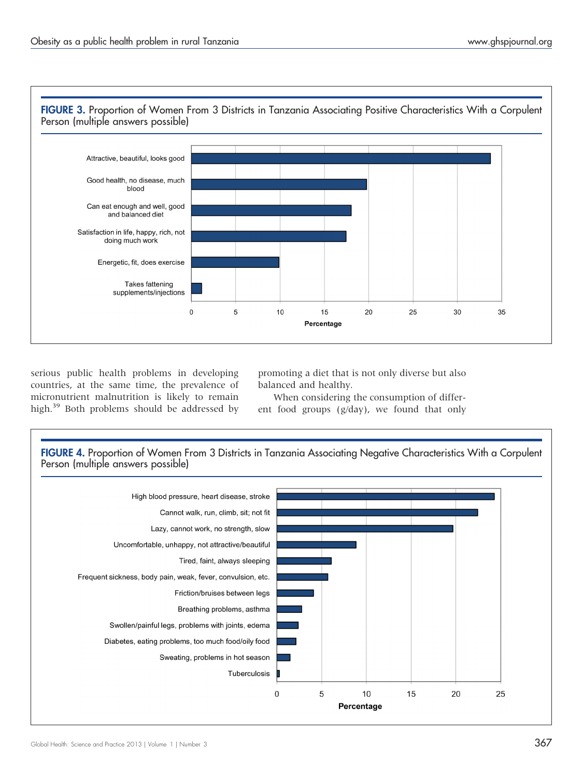<span id="page-8-0"></span>

serious public health problems in developing countries, at the same time, the prevalence of micronutrient malnutrition is likely to remain high.<sup>39</sup> Both problems should be addressed by promoting a diet that is not only diverse but also balanced and healthy.

When considering the consumption of different food groups (g/day), we found that only



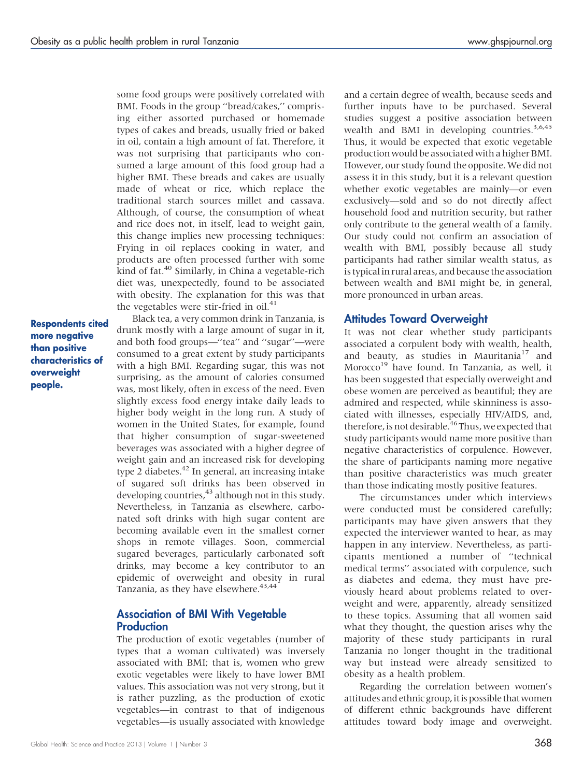some food groups were positively correlated with BMI. Foods in the group ''bread/cakes,'' comprising either assorted purchased or homemade types of cakes and breads, usually fried or baked in oil, contain a high amount of fat. Therefore, it was not surprising that participants who consumed a large amount of this food group had a higher BMI. These breads and cakes are usually made of wheat or rice, which replace the traditional starch sources millet and cassava. Although, of course, the consumption of wheat and rice does not, in itself, lead to weight gain, this change implies new processing techniques: Frying in oil replaces cooking in water, and products are often processed further with some kind of fat.<sup>40</sup> Similarly, in China a vegetable-rich diet was, unexpectedly, found to be associated with obesity. The explanation for this was that the vegetables were stir-fried in oil.<sup>41</sup>

Respondents cited more negative than positive characteristics of overweight people.

Black tea, a very common drink in Tanzania, is drunk mostly with a large amount of sugar in it, and both food groups—''tea'' and ''sugar''—were consumed to a great extent by study participants with a high BMI. Regarding sugar, this was not surprising, as the amount of calories consumed was, most likely, often in excess of the need. Even slightly excess food energy intake daily leads to higher body weight in the long run. A study of women in the United States, for example, found that higher consumption of sugar-sweetened beverages was associated with a higher degree of weight gain and an increased risk for developing type 2 diabetes.<sup>42</sup> In general, an increasing intake of sugared soft drinks has been observed in developing countries,<sup>43</sup> although not in this study. Nevertheless, in Tanzania as elsewhere, carbonated soft drinks with high sugar content are becoming available even in the smallest corner shops in remote villages. Soon, commercial sugared beverages, particularly carbonated soft drinks, may become a key contributor to an epidemic of overweight and obesity in rural Tanzania, as they have elsewhere.<sup>43,44</sup>

## Association of BMI With Vegetable **Production**

The production of exotic vegetables (number of types that a woman cultivated) was inversely associated with BMI; that is, women who grew exotic vegetables were likely to have lower BMI values. This association was not very strong, but it is rather puzzling, as the production of exotic vegetables—in contrast to that of indigenous vegetables—is usually associated with knowledge and a certain degree of wealth, because seeds and further inputs have to be purchased. Several studies suggest a positive association between wealth and BMI in developing countries.<sup>3,6,45</sup> Thus, it would be expected that exotic vegetable production would be associated with a higher BMI. However, our study found the opposite. We did not assess it in this study, but it is a relevant question whether exotic vegetables are mainly—or even exclusively—sold and so do not directly affect household food and nutrition security, but rather only contribute to the general wealth of a family. Our study could not confirm an association of wealth with BMI, possibly because all study participants had rather similar wealth status, as is typical in rural areas, and because the association between wealth and BMI might be, in general, more pronounced in urban areas.

#### Attitudes Toward Overweight

It was not clear whether study participants associated a corpulent body with wealth, health, and beauty, as studies in Mauritania<sup>17</sup> and Morocco<sup>19</sup> have found. In Tanzania, as well, it has been suggested that especially overweight and obese women are perceived as beautiful; they are admired and respected, while skinniness is associated with illnesses, especially HIV/AIDS, and, therefore, is not desirable. $46$  Thus, we expected that study participants would name more positive than negative characteristics of corpulence. However, the share of participants naming more negative than positive characteristics was much greater than those indicating mostly positive features.

The circumstances under which interviews were conducted must be considered carefully; participants may have given answers that they expected the interviewer wanted to hear, as may happen in any interview. Nevertheless, as participants mentioned a number of ''technical medical terms'' associated with corpulence, such as diabetes and edema, they must have previously heard about problems related to overweight and were, apparently, already sensitized to these topics. Assuming that all women said what they thought, the question arises why the majority of these study participants in rural Tanzania no longer thought in the traditional way but instead were already sensitized to obesity as a health problem.

Regarding the correlation between women's attitudes and ethnic group, it is possible that women of different ethnic backgrounds have different attitudes toward body image and overweight.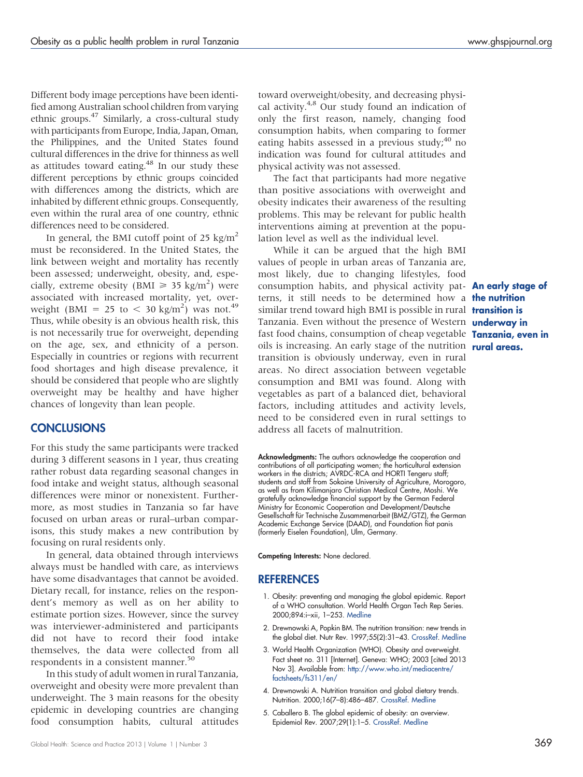Different body image perceptions have been identified among Australian school children from varying ethnic groups.47 Similarly, a cross-cultural study with participants from Europe, India, Japan, Oman, the Philippines, and the United States found cultural differences in the drive for thinness as well as attitudes toward eating.<sup>48</sup> In our study these different perceptions by ethnic groups coincided with differences among the districts, which are inhabited by different ethnic groups. Consequently, even within the rural area of one country, ethnic differences need to be considered.

In general, the BMI cutoff point of 25 kg/m<sup>2</sup> must be reconsidered. In the United States, the link between weight and mortality has recently been assessed; underweight, obesity, and, especially, extreme obesity (BMI  $\geq 35$  kg/m<sup>2</sup>) were associated with increased mortality, yet, overweight (BMI = 25 to  $<$  30 kg/m<sup>2</sup>) was not.<sup>49</sup> Thus, while obesity is an obvious health risk, this is not necessarily true for overweight, depending on the age, sex, and ethnicity of a person. Especially in countries or regions with recurrent food shortages and high disease prevalence, it should be considered that people who are slightly overweight may be healthy and have higher chances of longevity than lean people.

#### **CONCLUSIONS**

For this study the same participants were tracked during 3 different seasons in 1 year, thus creating rather robust data regarding seasonal changes in food intake and weight status, although seasonal differences were minor or nonexistent. Furthermore, as most studies in Tanzania so far have focused on urban areas or rural–urban comparisons, this study makes a new contribution by focusing on rural residents only.

In general, data obtained through interviews always must be handled with care, as interviews have some disadvantages that cannot be avoided. Dietary recall, for instance, relies on the respondent's memory as well as on her ability to estimate portion sizes. However, since the survey was interviewer-administered and participants did not have to record their food intake themselves, the data were collected from all respondents in a consistent manner.<sup>50</sup>

In this study of adult women in rural Tanzania, overweight and obesity were more prevalent than underweight. The 3 main reasons for the obesity epidemic in developing countries are changing food consumption habits, cultural attitudes

toward overweight/obesity, and decreasing physical activity.<sup>4,8</sup> Our study found an indication of only the first reason, namely, changing food consumption habits, when comparing to former eating habits assessed in a previous study;<sup>40</sup> no indication was found for cultural attitudes and physical activity was not assessed.

The fact that participants had more negative than positive associations with overweight and obesity indicates their awareness of the resulting problems. This may be relevant for public health interventions aiming at prevention at the population level as well as the individual level.

While it can be argued that the high BMI values of people in urban areas of Tanzania are, most likely, due to changing lifestyles, food consumption habits, and physical activity pat- **An early stage of** terns, it still needs to be determined how a **the nutrition** similar trend toward high BMI is possible in rural transition is Tanzania. Even without the presence of Western underway in fast food chains, consumption of cheap vegetable Tanzania, even in oils is increasing. An early stage of the nutrition rural areas. transition is obviously underway, even in rural areas. No direct association between vegetable consumption and BMI was found. Along with vegetables as part of a balanced diet, behavioral factors, including attitudes and activity levels, need to be considered even in rural settings to address all facets of malnutrition.

Acknowledgments: The authors acknowledge the cooperation and contributions of all participating women; the horticultural extension workers in the districts; AVRDC-RCA and HORTI Tengeru staff; students and staff from Sokoine University of Agriculture, Morogoro, as well as from Kilimanjaro Christian Medical Centre, Moshi. We gratefully acknowledge financial support by the German Federal Ministry for Economic Cooperation and Development/Deutsche Gesellschaft für Technische Zusammenarbeit (BMZ/GTZ), the German Academic Exchange Service (DAAD), and Foundation fiat panis (formerly Eiselen Foundation), Ulm, Germany.

Competing Interests: None declared.

#### **REFERENCES**

- 1. Obesity: preventing and managing the global epidemic. Report of a WHO consultation. World Health Organ Tech Rep Series. 2000;894:i–xii, 1–253. [Medline](http://www.ncbi.nlm.nih.gov/pubmed/11234459)
- 2. Drewnowski A, Popkin BM. The nutrition transition: new trends in the global diet. Nutr Rev. 1997;55(2):31–43. [CrossRef.](http://dx.doi.org/10.1111/j.1753-4887.1997.tb01593.x) [Medline](http://www.ncbi.nlm.nih.gov/entrez/query.fcgi?cmd=Retrieve&db=PubMed&list_uids=9155216&dopt=Abstract)
- 3. World Health Organization (WHO). Obesity and overweight. Fact sheet no. 311 [Internet]. Geneva: WHO; 2003 [cited 2013 Nov 3]. Available from: [http://www.who.int/mediacentre/](http://www.who.int/mediacentre/factsheets/fs311/en/) [factsheets/fs311/en/](http://www.who.int/mediacentre/factsheets/fs311/en/)
- 4. Drewnowski A. Nutrition transition and global dietary trends. Nutrition. 2000;16(7–8):486–487. [CrossRef.](http://dx.doi.org/10.1016/S0899-9007(00)00295-1) [Medline](http://www.ncbi.nlm.nih.gov/entrez/query.fcgi?cmd=Retrieve&db=PubMed&list_uids=10906531&dopt=Abstract)
- 5. Caballero B. The global epidemic of obesity: an overview. Epidemiol Rev. 2007;29(1):1–5. [CrossRef](http://dx.doi.org/10.1093/epirev/mxm012). [Medline](http://www.ncbi.nlm.nih.gov/entrez/query.fcgi?cmd=Retrieve&db=PubMed&list_uids=17569676&dopt=Abstract)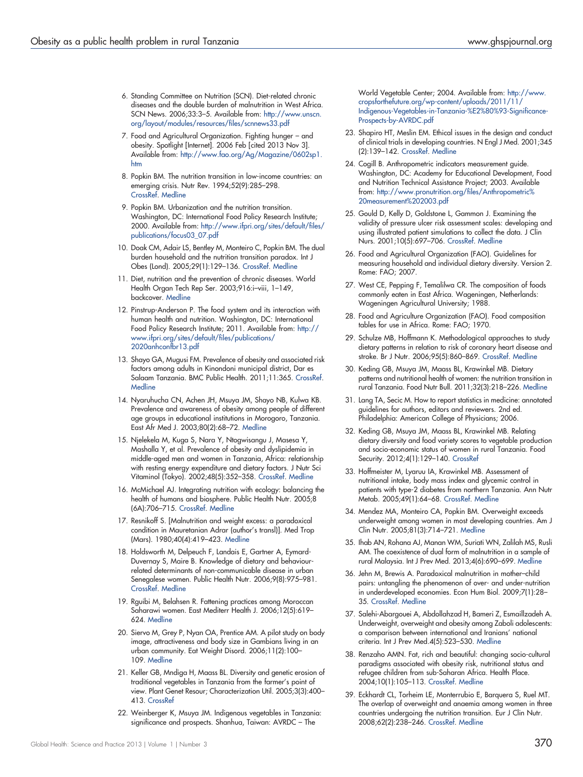- 6. Standing Committee on Nutrition (SCN). Diet-related chronic diseases and the double burden of malnutrition in West Africa. SCN News. 2006;33:3–5. Available from: [http://www.unscn.](http://www.unscn.org/layout/modules/resources/files/scnnews33.pdf) [org/layout/modules/resources/files/scnnews33.pdf](http://www.unscn.org/layout/modules/resources/files/scnnews33.pdf)
- 7. Food and Agricultural Organization. Fighting hunger and obesity. Spotlight [Internet]. 2006 Feb [cited 2013 Nov 3]. Available from: [http://www.fao.org/Ag/Magazine/0602sp1.](http://www.fao.org/Ag/Magazine/0602sp1.htm) [htm](http://www.fao.org/Ag/Magazine/0602sp1.htm)
- 8. Popkin BM. The nutrition transition in low-income countries: an emerging crisis. Nutr Rev. 1994;52(9):285–298. [CrossRef.](http://dx.doi.org/10.1111/j.1753-4887.1994.tb01460.x) [Medline](http://www.ncbi.nlm.nih.gov/entrez/query.fcgi?cmd=Retrieve&db=PubMed&list_uids=7984344&dopt=Abstract)
- 9. Popkin BM. Urbanization and the nutrition transition. Washington, DC: International Food Policy Research Institute; 2000. Available from: [http://www.ifpri.org/sites/default/files/](http://www.ifpri.org/sites/default/files/publications/focus03_07.pdf) [publications/focus03\\_07.pdf](http://www.ifpri.org/sites/default/files/publications/focus03_07.pdf)
- 10. Doak CM, Adair LS, Bentley M, Monteiro C, Popkin BM. The dual burden household and the nutrition transition paradox. Int J Obes (Lond). 2005;29(1):129–136. [CrossRef](http://dx.doi.org/10.1038/sj.ijo.0802824). [Medline](http://www.ncbi.nlm.nih.gov/entrez/query.fcgi?cmd=Retrieve&db=PubMed&list_uids=15505634&dopt=Abstract)
- 11. Diet, nutrition and the prevention of chronic diseases. World Health Organ Tech Rep Ser. 2003;916:i–viii, 1–149, backcover. [Medline](http://www.ncbi.nlm.nih.gov/entrez/query.fcgi?cmd=Retrieve&db=PubMed&list_uids=12768890&dopt=Abstract)
- 12. Pinstrup-Anderson P. The food system and its interaction with human health and nutrition. Washington, DC: International Food Policy Research Institute; 2011. Available from: [http://](http://www.ifpri.org/sites/default/files/publications/2020anhconfbr13.pdf) [www.ifpri.org/sites/default/files/publications/](http://www.ifpri.org/sites/default/files/publications/2020anhconfbr13.pdf) [2020anhconfbr13.pdf](http://www.ifpri.org/sites/default/files/publications/2020anhconfbr13.pdf)
- 13. Shayo GA, Mugusi FM. Prevalence of obesity and associated risk factors among adults in Kinondoni municipal district, Dar es Salaam Tanzania. BMC Public Health. 2011;11:365. [CrossRef.](http://dx.doi.org/10.1186/1471-2458-11-365) **[Medline](http://www.ncbi.nlm.nih.gov/pubmed/21605360)**
- 14. Nyaruhucha CN, Achen JH, Msuya JM, Shayo NB, Kulwa KB. Prevalence and awareness of obesity among people of different age groups in educational institutions in Morogoro, Tanzania. East Afr Med J. 2003;80(2):68–72. [Medline](http://www.ncbi.nlm.nih.gov/entrez/query.fcgi?cmd=Retrieve&db=PubMed&list_uids=16167718&dopt=Abstract)
- 15. Njelekela M, Kuga S, Nara Y, Ntogwisangu J, Masesa Y, Mashalla Y, et al. Prevalence of obesity and dyslipidemia in middle-aged men and women in Tanzania, Africa: relationship with resting energy expenditure and dietary factors. J Nutr Sci Vitaminol (Tokyo). 2002;48(5):352–358. [CrossRef.](http://dx.doi.org/10.3177/jnsv.48.352) [Medline](http://www.ncbi.nlm.nih.gov/entrez/query.fcgi?cmd=Retrieve&db=PubMed&list_uids=12656207&dopt=Abstract)
- 16. McMichael AJ. Integrating nutrition with ecology: balancing the health of humans and biosphere. Public Health Nutr. 2005;8 (6A):706–715. [CrossRef.](http://dx.doi.org/10.1079/PHN2005769) [Medline](http://www.ncbi.nlm.nih.gov/entrez/query.fcgi?cmd=Retrieve&db=PubMed&list_uids=16236205&dopt=Abstract)
- 17. Resnikoff S. [Malnutrition and weight excess: a paradoxical condition in Mauretanian Adrar (author's transl)]. Med Trop (Mars). 1980;40(4):419–423. [Medline](http://www.ncbi.nlm.nih.gov/entrez/query.fcgi?cmd=Retrieve&db=PubMed&list_uids=7421487&dopt=Abstract)
- 18. Holdsworth M, Delpeuch F, Landais E, Gartner A, Eymard-Duvernay S, Maire B. Knowledge of dietary and behaviourrelated determinants of non-communicable disease in urban Senegalese women. Public Health Nutr. 2006;9(8):975–981. [CrossRef.](http://dx.doi.org/10.1017/PHN2006979) [Medline](http://www.ncbi.nlm.nih.gov/entrez/query.fcgi?cmd=Retrieve&db=PubMed&list_uids=17125559&dopt=Abstract)
- 19. Rguibi M, Belahsen R. Fattening practices among Moroccan Saharawi women. East Mediterr Health J. 2006;12(5):619– 624. [Medline](http://www.ncbi.nlm.nih.gov/entrez/query.fcgi?cmd=Retrieve&db=PubMed&list_uids=17333802&dopt=Abstract)
- 20. Siervo M, Grey P, Nyan OA, Prentice AM. A pilot study on body image, attractiveness and body size in Gambians living in an urban community. Eat Weight Disord. 2006;11(2):100– 109. [Medline](http://www.ncbi.nlm.nih.gov/entrez/query.fcgi?cmd=Retrieve&db=PubMed&list_uids=16809982&dopt=Abstract)
- 21. Keller GB, Mndiga H, Maass BL. Diversity and genetic erosion of traditional vegetables in Tanzania from the farmer's point of view. Plant Genet Resour; Characterization Util. 2005;3(3):400– 413. [CrossRef](http://dx.doi.org/10.1079/PGR200594)
- 22. Weinberger K, Msuya JM. Indigenous vegetables in Tanzania: significance and prospects. Shanhua, Taiwan: AVRDC – The

World Vegetable Center; 2004. Available from: [http://www.](http://www.cropsforthefuture.org/wp-content/uploads/2011/11/Indigenous-Vegetables-in-Tanzania-%E2%80%93-Significance-Prospects-by-AVRDC.pdf) [cropsforthefuture.org/wp-content/uploads/2011/11/](http://www.cropsforthefuture.org/wp-content/uploads/2011/11/Indigenous-Vegetables-in-Tanzania-%E2%80%93-Significance-Prospects-by-AVRDC.pdf) [Indigenous-Vegetables-in-Tanzania-%E2%80%93-Significance-](http://www.cropsforthefuture.org/wp-content/uploads/2011/11/Indigenous-Vegetables-in-Tanzania-%E2%80%93-Significance-Prospects-by-AVRDC.pdf)[Prospects-by-AVRDC.pdf](http://www.cropsforthefuture.org/wp-content/uploads/2011/11/Indigenous-Vegetables-in-Tanzania-%E2%80%93-Significance-Prospects-by-AVRDC.pdf)

- 23. Shapiro HT, Meslin EM. Ethical issues in the design and conduct of clinical trials in developing countries. N Engl J Med. 2001;345 (2):139–142. [CrossRef](http://dx.doi.org/10.1056/NEJM200107123450212). [Medline](http://www.ncbi.nlm.nih.gov/entrez/query.fcgi?cmd=Retrieve&db=PubMed&list_uids=11450665&dopt=Abstract)
- 24. Cogill B. Anthropometric indicators measurement guide. Washington, DC: Academy for Educational Development, Food and Nutrition Technical Assistance Project; 2003. Available from: [http://www.pronutrition.org/files/Anthropometric%](http://www.pronutrition.org/files/Anthropometric%20measurement%202003.pdf) [20measurement%202003.pdf](http://www.pronutrition.org/files/Anthropometric%20measurement%202003.pdf)
- 25. Gould D, Kelly D, Goldstone L, Gammon J. Examining the validity of pressure ulcer risk assessment scales: developing and using illustrated patient simulations to collect the data. J Clin Nurs. 2001;10(5):697–706. [CrossRef.](http://dx.doi.org/10.1046/j.1365-2702.2001.00525.x) [Medline](http://www.ncbi.nlm.nih.gov/entrez/query.fcgi?cmd=Retrieve&db=PubMed&list_uids=11822520&dopt=Abstract)
- 26. Food and Agricultural Organization (FAO). Guidelines for measuring household and individual dietary diversity. Version 2. Rome: FAO; 2007.
- 27. West CE, Pepping F, Temalilwa CR. The composition of foods commonly eaten in East Africa. Wageningen, Netherlands: Wageningen Agricultural University; 1988.
- 28. Food and Agriculture Organization (FAO). Food composition tables for use in Africa. Rome: FAO; 1970.
- 29. Schulze MB, Hoffmann K. Methodological approaches to study dietary patterns in relation to risk of coronary heart disease and stroke. Br J Nutr. 2006;95(5):860–869. [CrossRef.](http://dx.doi.org/10.1079/BJN20061731) [Medline](http://www.ncbi.nlm.nih.gov/entrez/query.fcgi?cmd=Retrieve&db=PubMed&list_uids=16611375&dopt=Abstract)
- 30. Keding GB, Msuya JM, Maass BL, Krawinkel MB. Dietary patterns and nutritional health of women: the nutrition transition in rural Tanzania. Food Nutr Bull. 2011;32(3):218–226. [Medline](http://www.ncbi.nlm.nih.gov/entrez/query.fcgi?cmd=Retrieve&db=PubMed&list_uids=22073796&dopt=Abstract)
- 31. Lang TA, Secic M. How to report statistics in medicine: annotated guidelines for authors, editors and reviewers. 2nd ed. Philadelphia: American College of Physicians; 2006.
- 32. Keding GB, Msuya JM, Maass BL, Krawinkel MB. Relating dietary diversity and food variety scores to vegetable production and socio-economic status of women in rural Tanzania. Food Security. 2012;4(1):129–140. [CrossRef](http://dx.doi.org/10.1007/s12571-011-0163-y)
- 33. Hoffmeister M, Lyaruu IA, Krawinkel MB. Assessment of nutritional intake, body mass index and glycemic control in patients with type-2 diabetes from northern Tanzania. Ann Nutr Metab. 2005;49(1):64–68. [CrossRef](http://dx.doi.org/10.1159/000084179). [Medline](http://www.ncbi.nlm.nih.gov/entrez/query.fcgi?cmd=Retrieve&db=PubMed&list_uids=15735369&dopt=Abstract)
- 34. Mendez MA, Monteiro CA, Popkin BM. Overweight exceeds underweight among women in most developing countries. Am J Clin Nutr. 2005;81(3):714–721. [Medline](http://www.ncbi.nlm.nih.gov/entrez/query.fcgi?cmd=Retrieve&db=PubMed&list_uids=15755843&dopt=Abstract)
- 35. Ihab AN, Rohana AJ, Manan WM, Suriati WN, Zalilah MS, Rusli AM. The coexistence of dual form of malnutrition in a sample of rural Malaysia. Int J Prev Med. 2013;4(6):690–699. [Medline](http://www.ncbi.nlm.nih.gov/pubmed/23930187)
- 36. Jehn M, Brewis A. Paradoxical malnutrition in mother–child pairs: untangling the phenomenon of over- and under-nutrition in underdeveloped economies. Econ Hum Biol. 2009;7(1):28– 35. [CrossRef](http://dx.doi.org/10.1016/j.ehb.2009.01.007). [Medline](http://www.ncbi.nlm.nih.gov/entrez/query.fcgi?cmd=Retrieve&db=PubMed&list_uids=19246260&dopt=Abstract)
- 37. Salehi-Abargouei A, Abdollahzad H, Bameri Z, Esmaillzadeh A. Underweight, overweight and obesity among Zaboli adolescents: a comparison between international and Iranians' national criteria. Int J Prev Med.4(5):523–530. [Medline](http://www.ncbi.nlm.nih.gov/pubmed/23930162)
- 38. Renzaho AMN. Fat, rich and beautiful: changing socio-cultural paradigms associated with obesity risk, nutritional status and refugee children from sub-Saharan Africa. Health Place. 2004;10(1):105–113. [CrossRef](http://dx.doi.org/10.1016/S1353-8292(03)00051-0). [Medline](http://www.ncbi.nlm.nih.gov/entrez/query.fcgi?cmd=Retrieve&db=PubMed&list_uids=14637290&dopt=Abstract)
- 39. Eckhardt CL, Torheim LE, Monterrubio E, Barquera S, Ruel MT. The overlap of overweight and anaemia among women in three countries undergoing the nutrition transition. Eur J Clin Nutr. 2008;62(2):238–246. [CrossRef](http://dx.doi.org/10.1038/sj.ejcn.1602727). [Medline](http://www.ncbi.nlm.nih.gov/entrez/query.fcgi?cmd=Retrieve&db=PubMed&list_uids=17375116&dopt=Abstract)